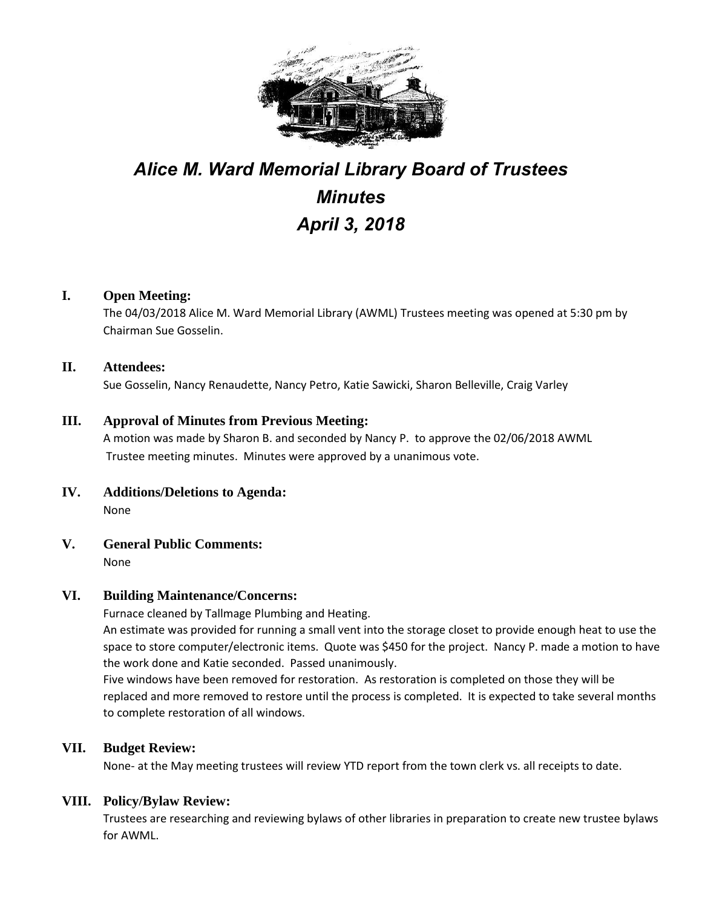

# *Alice M. Ward Memorial Library Board of Trustees Minutes April 3, 2018*

## **I. Open Meeting:**

The 04/03/2018 Alice M. Ward Memorial Library (AWML) Trustees meeting was opened at 5:30 pm by Chairman Sue Gosselin.

#### **II. Attendees:**

Sue Gosselin, Nancy Renaudette, Nancy Petro, Katie Sawicki, Sharon Belleville, Craig Varley

#### **III. Approval of Minutes from Previous Meeting:**

A motion was made by Sharon B. and seconded by Nancy P. to approve the 02/06/2018 AWML Trustee meeting minutes. Minutes were approved by a unanimous vote.

- **IV. Additions/Deletions to Agenda:** None
- **V. General Public Comments:** None

#### **VI. Building Maintenance/Concerns:**

Furnace cleaned by Tallmage Plumbing and Heating.

An estimate was provided for running a small vent into the storage closet to provide enough heat to use the space to store computer/electronic items. Quote was \$450 for the project. Nancy P. made a motion to have the work done and Katie seconded. Passed unanimously.

Five windows have been removed for restoration. As restoration is completed on those they will be replaced and more removed to restore until the process is completed. It is expected to take several months to complete restoration of all windows.

#### **VII. Budget Review:**

None- at the May meeting trustees will review YTD report from the town clerk vs. all receipts to date.

#### **VIII. Policy/Bylaw Review:**

Trustees are researching and reviewing bylaws of other libraries in preparation to create new trustee bylaws for AWML.